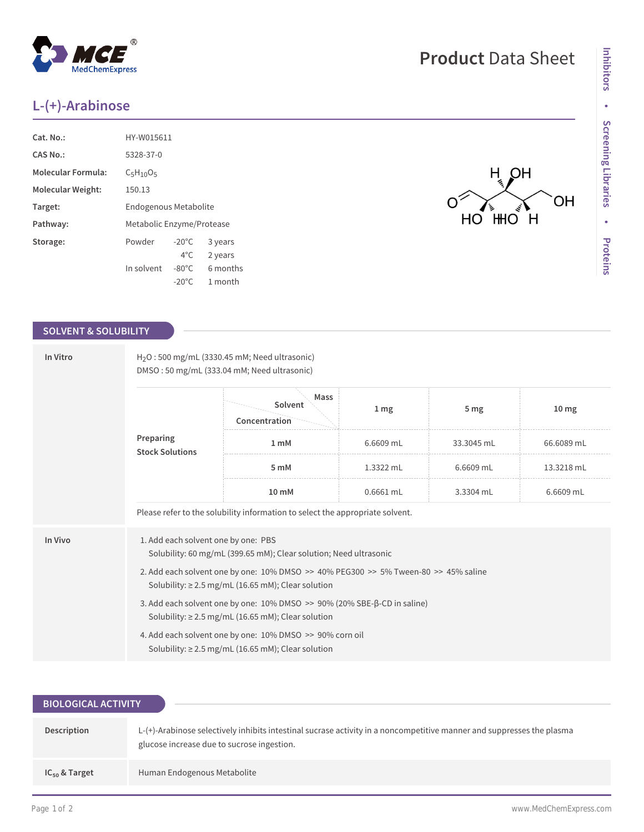## **L-(+)-Arabinose**

MedChemExpress

| Cat. No.:                 | HY-W015611                |                 |          |  |
|---------------------------|---------------------------|-----------------|----------|--|
| CAS No.:                  | 5328-37-0                 |                 |          |  |
| <b>Molecular Formula:</b> | $C_5H_{10}O_5$            |                 |          |  |
| Molecular Weight:         | 150.13                    |                 |          |  |
| Target:                   | Endogenous Metabolite     |                 |          |  |
| Pathway:                  | Metabolic Enzyme/Protease |                 |          |  |
| Storage:                  | Powder                    | $-20^{\circ}$ C | 3 years  |  |
|                           |                           | $4^{\circ}$ C   | 2 years  |  |
|                           | In solvent                | $-80^{\circ}$ C | 6 months |  |
|                           |                           | $-20^{\circ}$ C | 1 month  |  |

 $^{\circledR}$ 

## **SOLVENT & SOLUBILITY**

| In Vitro<br>Preparing | H <sub>2</sub> O: 500 mg/mL (3330.45 mM; Need ultrasonic)<br>DMSO: 50 mg/mL (333.04 mM; Need ultrasonic)                                       |                                                                               |                 |                 |                  |  |  |
|-----------------------|------------------------------------------------------------------------------------------------------------------------------------------------|-------------------------------------------------------------------------------|-----------------|-----------------|------------------|--|--|
|                       | <b>Stock Solutions</b>                                                                                                                         | Mass<br>Solvent<br>Concentration                                              | 1 <sub>mg</sub> | 5 <sub>mg</sub> | 10 <sub>mg</sub> |  |  |
|                       |                                                                                                                                                | 1 mM                                                                          | 6.6609 mL       | 33.3045 mL      | 66.6089 mL       |  |  |
|                       |                                                                                                                                                | 5 mM                                                                          | 1.3322 mL       | 6.6609 mL       | 13.3218 mL       |  |  |
|                       |                                                                                                                                                | $10 \text{ mM}$                                                               | 0.6661 mL       | 3.3304 mL       | 6.6609 mL        |  |  |
|                       |                                                                                                                                                | Please refer to the solubility information to select the appropriate solvent. |                 |                 |                  |  |  |
| In Vivo               | 1. Add each solvent one by one: PBS<br>Solubility: 60 mg/mL (399.65 mM); Clear solution; Need ultrasonic                                       |                                                                               |                 |                 |                  |  |  |
|                       | 2. Add each solvent one by one: 10% DMSO >> 40% PEG300 >> 5% Tween-80 >> 45% saline<br>Solubility: $\geq$ 2.5 mg/mL (16.65 mM); Clear solution |                                                                               |                 |                 |                  |  |  |
|                       | 3. Add each solvent one by one: 10% DMSO >> 90% (20% SBE-β-CD in saline)<br>Solubility: $\geq$ 2.5 mg/mL (16.65 mM); Clear solution            |                                                                               |                 |                 |                  |  |  |
|                       | 4. Add each solvent one by one: 10% DMSO >> 90% corn oil<br>Solubility: $\geq$ 2.5 mg/mL (16.65 mM); Clear solution                            |                                                                               |                 |                 |                  |  |  |

| <b>BIOLOGICAL ACTIVITY</b> |                                                                                                                                                                     |
|----------------------------|---------------------------------------------------------------------------------------------------------------------------------------------------------------------|
|                            |                                                                                                                                                                     |
| Description                | L-(+)-Arabinose selectively inhibits intestinal sucrase activity in a noncompetitive manner and suppresses the plasma<br>glucose increase due to sucrose ingestion. |
| $IC_{50}$ & Target         | Human Endogenous Metabolite                                                                                                                                         |